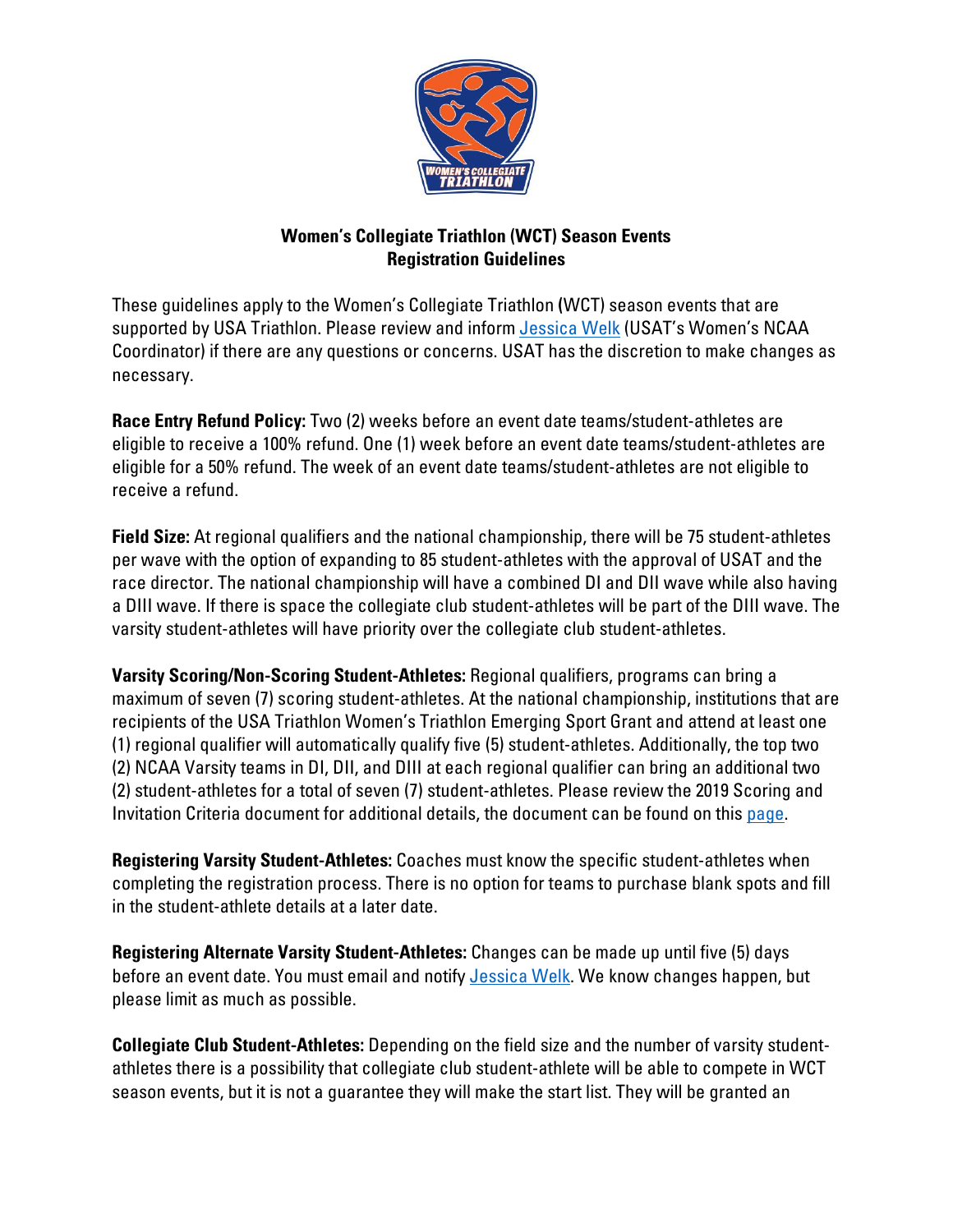

## **Women's Collegiate Triathlon (WCT) Season Events Registration Guidelines**

These guidelines apply to the Women's Collegiate Triathlon **(**WCT) season events that are supported by USA Triathlon. Please review and inform [Jessica Welk](mailto:jessica.welk@usatriathlon.org) (USAT's Women's NCAA Coordinator) if there are any questions or concerns. USAT has the discretion to make changes as necessary.

**Race Entry Refund Policy:** Two (2) weeks before an event date teams/student-athletes are eligible to receive a 100% refund. One (1) week before an event date teams/student-athletes are eligible for a 50% refund. The week of an event date teams/student-athletes are not eligible to receive a refund.

**Field Size:** At regional qualifiers and the national championship, there will be 75 student-athletes per wave with the option of expanding to 85 student-athletes with the approval of USAT and the race director. The national championship will have a combined DI and DII wave while also having a DIII wave. If there is space the collegiate club student-athletes will be part of the DIII wave. The varsity student-athletes will have priority over the collegiate club student-athletes.

**Varsity Scoring/Non-Scoring Student-Athletes:** Regional qualifiers, programs can bring a maximum of seven (7) scoring student-athletes. At the national championship, institutions that are recipients of the USA Triathlon Women's Triathlon Emerging Sport Grant and attend at least one (1) regional qualifier will automatically qualify five (5) student-athletes. Additionally, the top two (2) NCAA Varsity teams in DI, DII, and DIII at each regional qualifier can bring an additional two (2) student-athletes for a total of seven (7) student-athletes. Please review the 2019 Scoring and Invitation Criteria document for additional details, the document can be found on this [page.](https://www.teamusa.org/usa-triathlon/about/multisport/ncaa-triathlon/events)

**Registering Varsity Student-Athletes:** Coaches must know the specific student-athletes when completing the registration process. There is no option for teams to purchase blank spots and fill in the student-athlete details at a later date.

**Registering Alternate Varsity Student-Athletes:** Changes can be made up until five (5) days before an event date. You must email and notify [Jessica Welk.](mailto:jessica.welk@usatriathlon.org) We know changes happen, but please limit as much as possible.

**Collegiate Club Student-Athletes:** Depending on the field size and the number of varsity studentathletes there is a possibility that collegiate club student-athlete will be able to compete in WCT season events, but it is not a guarantee they will make the start list. They will be granted an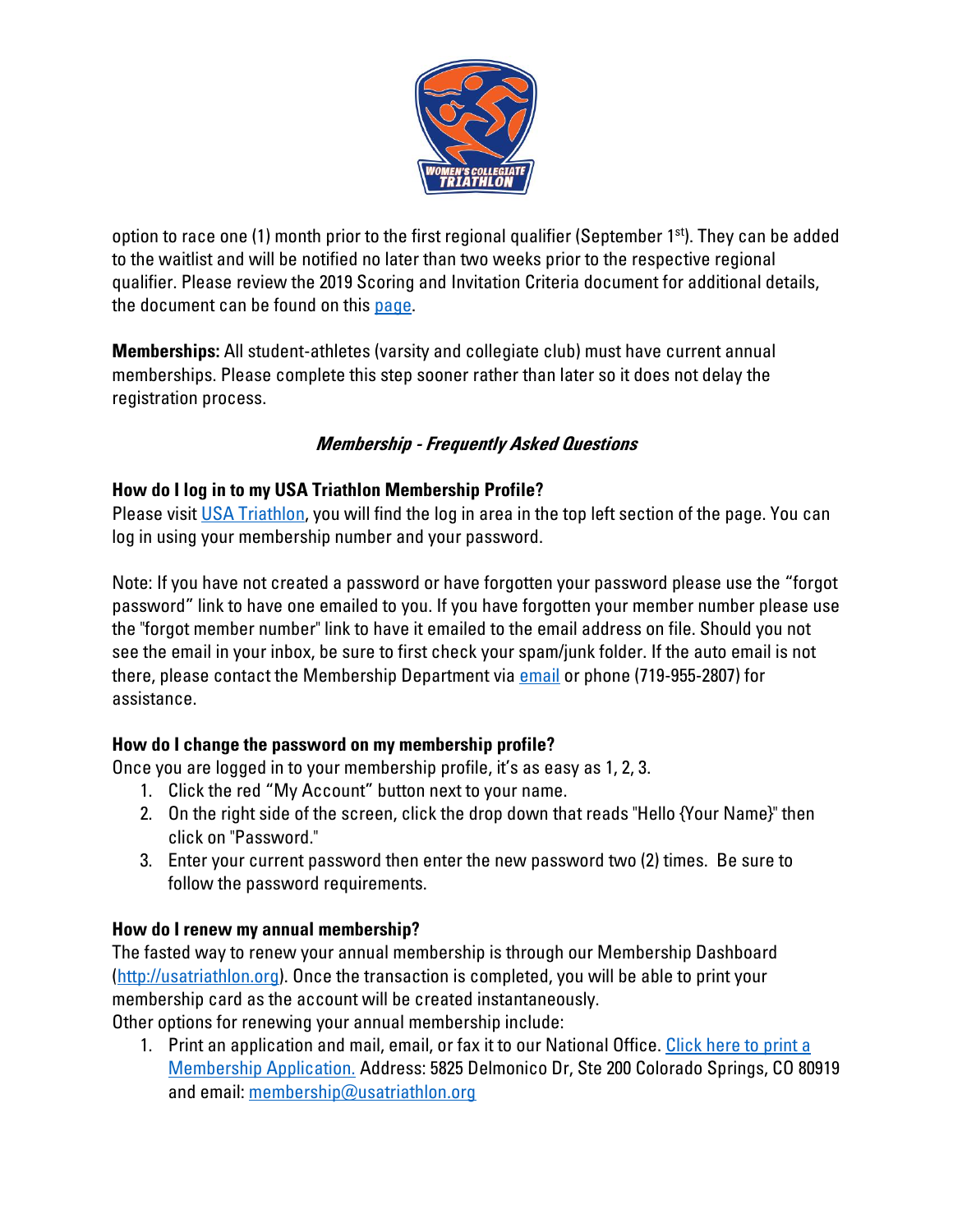

option to race one (1) month prior to the first regional qualifier (September 1st). They can be added to the waitlist and will be notified no later than two weeks prior to the respective regional qualifier. Please review the 2019 Scoring and Invitation Criteria document for additional details, the document can be found on thi[s page.](https://www.teamusa.org/usa-triathlon/about/multisport/ncaa-triathlon/events)

**Memberships:** All student-athletes (varsity and collegiate club) must have current annual memberships. Please complete this step sooner rather than later so it does not delay the registration process.

# **Membership - Frequently Asked Questions**

### **How do I log in to my USA Triathlon Membership Profile?**

Please visit [USA Triathlon,](https://www.teamusa.org/USA-Triathlon) you will find the log in area in the top left section of the page. You can log in using your membership number and your password.

Note: If you have not created a password or have forgotten your password please use the "forgot password" link to have one emailed to you. If you have forgotten your member number please use the "forgot member number" link to have it emailed to the email address on file. Should you not see the email in your inbox, be sure to first check your spam/junk folder. If the auto email is not there, please contact the Membership Department via [email](mailto:membership@usatriathlon.org?subject=Forgot%20Password) or phone (719-955-2807) for assistance.

### **How do I change the password on my membership profile?**

Once you are logged in to your membership profile, it's as easy as 1, 2, 3.

- 1. Click the red "My Account" button next to your name.
- 2. On the right side of the screen, click the drop down that reads "Hello {Your Name}" then click on "Password."
- 3. Enter your current password then enter the new password two (2) times. Be sure to follow the password requirements.

### **How do I renew my annual membership?**

The fasted way to renew your annual membership is through our Membership Dashboard [\(http://usatriathlon.org\)](https://www.teamusa.org/USA-Triathlon). Once the transaction is completed, you will be able to print your membership card as the account will be created instantaneously. Other options for renewing your annual membership include:

1. Print an application and mail, email, or fax it to our National Office. [Click here to print a](https://www.teamusa.org/-/media/USA_Triathlon/PDF/Membership-Services/Membership-Applications/2-Page-Participant-Waiver-and-Release-Form_.pdf?la=en&hash=D510AB158E57B8B91FB4254C9ED37721D8EF18C4)  [Membership Application.](https://www.teamusa.org/-/media/USA_Triathlon/PDF/Membership-Services/Membership-Applications/2-Page-Participant-Waiver-and-Release-Form_.pdf?la=en&hash=D510AB158E57B8B91FB4254C9ED37721D8EF18C4) Address: 5825 Delmonico Dr, Ste 200 Colorado Springs, CO 80919 and email: [membership@usatriathlon.org](mailto:membership@usatriathlon.org)